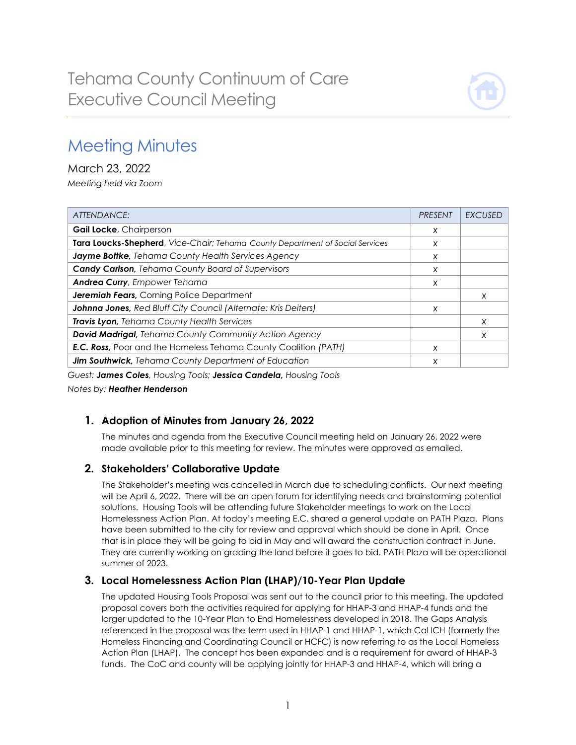

# Meeting Minutes

March 23, 2022 *Meeting held via Zoom*

| <b>ATTENDANCE:</b>                                                            | <b>PRESENT</b> | EXCUSED  |
|-------------------------------------------------------------------------------|----------------|----------|
| <b>Gail Locke, Chairperson</b>                                                | X              |          |
| Tara Loucks-Shepherd, Vice-Chair; Tehama County Department of Social Services | X              |          |
| Jayme Bottke, Tehama County Health Services Agency                            | X              |          |
| <b>Candy Carlson, Tehama County Board of Supervisors</b>                      | X              |          |
| <b>Andrea Curry, Empower Tehama</b>                                           | X              |          |
| <b>Jeremiah Fears, Corning Police Department</b>                              |                | $\times$ |
| Johnna Jones, Red Bluff City Council (Alternate: Kris Deiters)                | x              |          |
| <b>Travis Lyon</b> , Tehama County Health Services                            |                | X        |
| David Madrigal, Tehama County Community Action Agency                         |                | X        |
| <b>E.C. Ross, Poor and the Homeless Tehama County Coalition (PATH)</b>        | X              |          |
| Jim Southwick, Tehama County Department of Education                          | X              |          |

*Guest: James Coles, Housing Tools; Jessica Candela, Housing Tools*

*Notes by: Heather Henderson*

# **1. Adoption of Minutes from January 26, 2022**

The minutes and agenda from the Executive Council meeting held on January 26, 2022 were made available prior to this meeting for review. The minutes were approved as emailed.

#### **2. Stakeholders' Collaborative Update**

The Stakeholder's meeting was cancelled in March due to scheduling conflicts. Our next meeting will be April 6, 2022. There will be an open forum for identifying needs and brainstorming potential solutions. Housing Tools will be attending future Stakeholder meetings to work on the Local Homelessness Action Plan. At today's meeting E.C. shared a general update on PATH Plaza. Plans have been submitted to the city for review and approval which should be done in April. Once that is in place they will be going to bid in May and will award the construction contract in June. They are currently working on grading the land before it goes to bid. PATH Plaza will be operational summer of 2023.

#### **3. Local Homelessness Action Plan (LHAP)/10-Year Plan Update**

The updated Housing Tools Proposal was sent out to the council prior to this meeting. The updated proposal covers both the activities required for applying for HHAP-3 and HHAP-4 funds and the larger updated to the 10-Year Plan to End Homelessness developed in 2018. The Gaps Analysis referenced in the proposal was the term used in HHAP-1 and HHAP-1, which Cal ICH (formerly the Homeless Financing and Coordinating Council or HCFC) is now referring to as the Local Homeless Action Plan (LHAP). The concept has been expanded and is a requirement for award of HHAP-3 funds. The CoC and county will be applying jointly for HHAP-3 and HHAP-4, which will bring a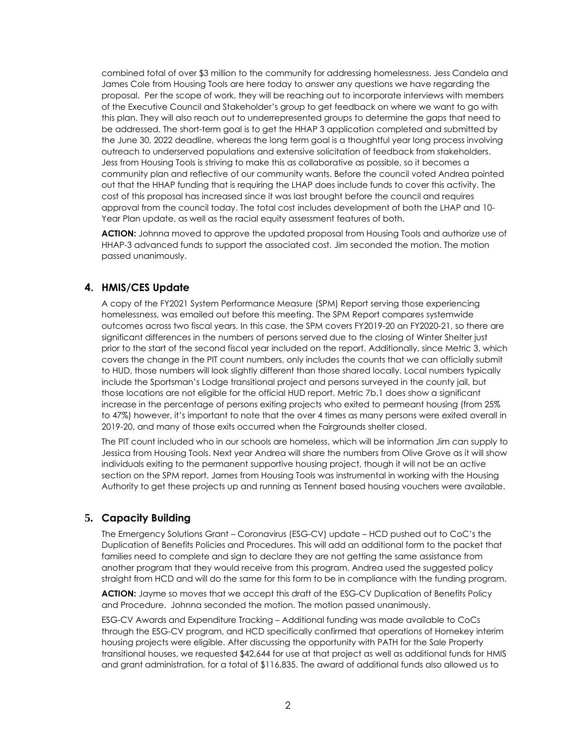combined total of over \$3 million to the community for addressing homelessness. Jess Candela and James Cole from Housing Tools are here today to answer any questions we have regarding the proposal. Per the scope of work, they will be reaching out to incorporate interviews with members of the Executive Council and Stakeholder's group to get feedback on where we want to go with this plan. They will also reach out to underrepresented groups to determine the gaps that need to be addressed. The short-term goal is to get the HHAP 3 application completed and submitted by the June 30, 2022 deadline, whereas the long term goal is a thoughtful year long process involving outreach to underserved populations and extensive solicitation of feedback from stakeholders. Jess from Housing Tools is striving to make this as collaborative as possible, so it becomes a community plan and reflective of our community wants. Before the council voted Andrea pointed out that the HHAP funding that is requiring the LHAP does include funds to cover this activity. The cost of this proposal has increased since it was last brought before the council and requires approval from the council today. The total cost includes development of both the LHAP and 10- Year Plan update, as well as the racial equity assessment features of both.

**ACTION:** Johnna moved to approve the updated proposal from Housing Tools and authorize use of HHAP-3 advanced funds to support the associated cost. Jim seconded the motion. The motion passed unanimously.

## **4. HMIS/CES Update**

A copy of the FY2021 System Performance Measure (SPM) Report serving those experiencing homelessness, was emailed out before this meeting. The SPM Report compares systemwide outcomes across two fiscal years. In this case, the SPM covers FY2019-20 an FY2020-21, so there are significant differences in the numbers of persons served due to the closing of Winter Shelter just prior to the start of the second fiscal year included on the report. Additionally, since Metric 3, which covers the change in the PIT count numbers, only includes the counts that we can officially submit to HUD, those numbers will look slightly different than those shared locally. Local numbers typically include the Sportsman's Lodge transitional project and persons surveyed in the county jail, but those locations are not eligible for the official HUD report. Metric 7b.1 does show a significant increase in the percentage of persons exiting projects who exited to permeant housing (from 25% to 47%) however, it's important to note that the over 4 times as many persons were exited overall in 2019-20, and many of those exits occurred when the Fairgrounds shelter closed.

The PIT count included who in our schools are homeless, which will be information Jim can supply to Jessica from Housing Tools. Next year Andrea will share the numbers from Olive Grove as it will show individuals exiting to the permanent supportive housing project, though it will not be an active section on the SPM report. James from Housing Tools was instrumental in working with the Housing Authority to get these projects up and running as Tennent based housing vouchers were available.

# **5. Capacity Building**

The Emergency Solutions Grant – Coronavirus (ESG-CV) update – HCD pushed out to CoC's the Duplication of Benefits Policies and Procedures. This will add an additional form to the packet that families need to complete and sign to declare they are not getting the same assistance from another program that they would receive from this program. Andrea used the suggested policy straight from HCD and will do the same for this form to be in compliance with the funding program.

**ACTION:** Jayme so moves that we accept this draft of the ESG-CV Duplication of Benefits Policy and Procedure. Johnna seconded the motion. The motion passed unanimously.

ESG-CV Awards and Expenditure Tracking – Additional funding was made available to CoCs through the ESG-CV program, and HCD specifically confirmed that operations of Homekey interim housing projects were eligible. After discussing the opportunity with PATH for the Sale Property transitional houses, we requested \$42,644 for use at that project as well as additional funds for HMIS and grant administration, for a total of \$116,835. The award of additional funds also allowed us to